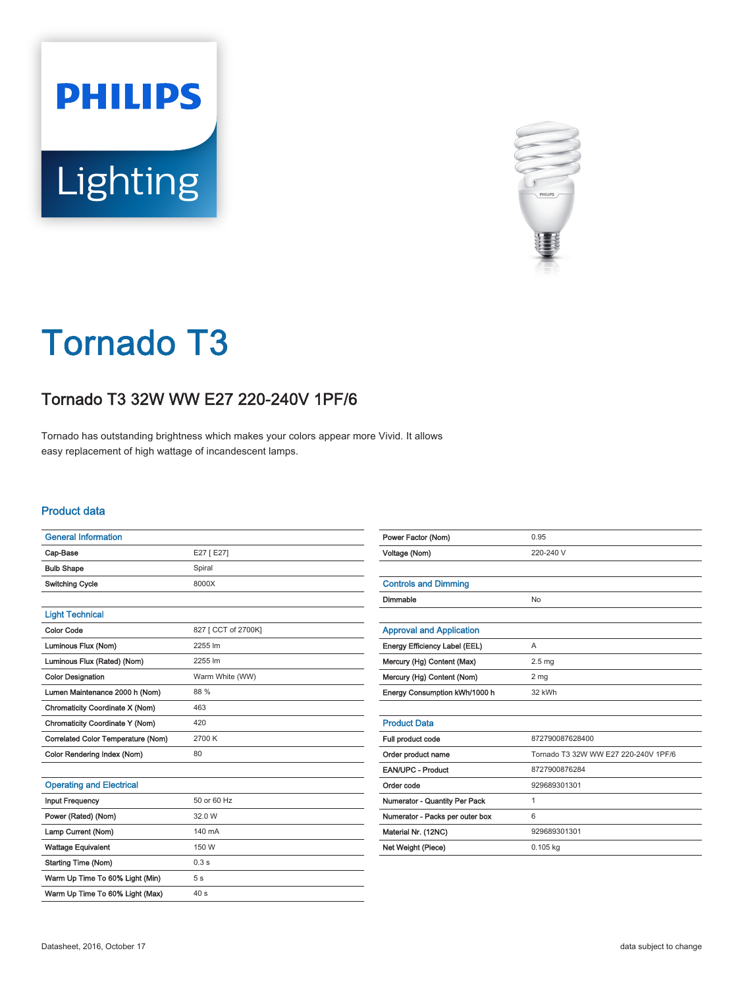



# Tornado T3

## Tornado T3 32W WW E27 220-240V 1PF/6

Tornado has outstanding brightness which makes your colors appear more Vivid. It allows easy replacement of high wattage of incandescent lamps.

#### Product data

| <b>General Information</b>         |                     |
|------------------------------------|---------------------|
| Cap-Base                           | E27 [ E27]          |
| <b>Bulb Shape</b>                  | Spiral              |
| Switching Cycle                    | 8000X               |
|                                    |                     |
| <b>Light Technical</b>             |                     |
| <b>Color Code</b>                  | 827 [ CCT of 2700K] |
| Luminous Flux (Nom)                | 2255 lm             |
| Luminous Flux (Rated) (Nom)        | 2255 lm             |
| <b>Color Designation</b>           | Warm White (WW)     |
| Lumen Maintenance 2000 h (Nom)     | 88 %                |
| Chromaticity Coordinate X (Nom)    | 463                 |
| Chromaticity Coordinate Y (Nom)    | 420                 |
| Correlated Color Temperature (Nom) | 2700 K              |
| Color Rendering Index (Nom)        | 80                  |
|                                    |                     |
| <b>Operating and Electrical</b>    |                     |
| <b>Input Frequency</b>             | 50 or 60 Hz         |
|                                    |                     |

| <b>Input Frequency</b>          | 50 or 60 Hz     |
|---------------------------------|-----------------|
| Power (Rated) (Nom)             | 32.0 W          |
| Lamp Current (Nom)              | 140 mA          |
| <b>Wattage Equivalent</b>       | 150 W           |
| <b>Starting Time (Nom)</b>      | 0.3s            |
| Warm Up Time To 60% Light (Min) | 5 <sub>s</sub>  |
| Warm Up Time To 60% Light (Max) | 40 <sub>s</sub> |

| Power Factor (Nom)              | 0.95                                 |  |  |
|---------------------------------|--------------------------------------|--|--|
| Voltage (Nom)                   | 220-240 V                            |  |  |
|                                 |                                      |  |  |
| <b>Controls and Dimming</b>     |                                      |  |  |
| Dimmable                        | No                                   |  |  |
|                                 |                                      |  |  |
| <b>Approval and Application</b> |                                      |  |  |
| Energy Efficiency Label (EEL)   | A                                    |  |  |
| Mercury (Hg) Content (Max)      | 2.5 <sub>mg</sub>                    |  |  |
| Mercury (Hg) Content (Nom)      | 2 <sub>mg</sub>                      |  |  |
| Energy Consumption kWh/1000 h   | 32 kWh                               |  |  |
|                                 |                                      |  |  |
| <b>Product Data</b>             |                                      |  |  |
| Full product code               | 872790087628400                      |  |  |
| Order product name              | Tornado T3 32W WW E27 220-240V 1PF/6 |  |  |
| <b>EAN/UPC - Product</b>        | 8727900876284                        |  |  |
| Order code                      | 929689301301                         |  |  |
| Numerator - Quantity Per Pack   | 1                                    |  |  |
| Numerator - Packs per outer box | 6                                    |  |  |
| Material Nr. (12NC)             | 929689301301                         |  |  |
| Net Weight (Piece)              | $0.105$ kg                           |  |  |
|                                 |                                      |  |  |